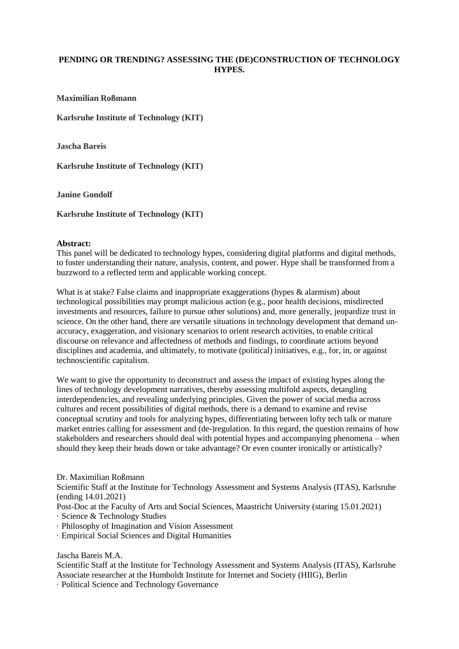## **PENDING OR TRENDING? ASSESSING THE (DE)CONSTRUCTION OF TECHNOLOGY HYPES.**

**Maximilian Roßmann**

**Karlsruhe Institute of Technology (KIT)**

**Jascha Bareis**

**Karlsruhe Institute of Technology (KIT)**

**Janine Gondolf** 

**Karlsruhe Institute of Technology (KIT)**

## **Abstract:**

This panel will be dedicated to technology hypes, considering digital platforms and digital methods, to foster understanding their nature, analysis, content, and power. Hype shall be transformed from a buzzword to a reflected term and applicable working concept.

What is at stake? False claims and inappropriate exaggerations (hypes & alarmism) about technological possibilities may prompt malicious action (e.g., poor health decisions, misdirected investments and resources, failure to pursue other solutions) and, more generally, jeopardize trust in science. On the other hand, there are versatile situations in technology development that demand unaccuracy, exaggeration, and visionary scenarios to orient research activities, to enable critical discourse on relevance and affectedness of methods and findings, to coordinate actions beyond disciplines and academia, and ultimately, to motivate (political) initiatives, e.g., for, in, or against technoscientific capitalism.

We want to give the opportunity to deconstruct and assess the impact of existing hypes along the lines of technology development narratives, thereby assessing multifold aspects, detangling interdependencies, and revealing underlying principles. Given the power of social media across cultures and recent possibilities of digital methods, there is a demand to examine and revise conceptual scrutiny and tools for analyzing hypes, differentiating between lofty tech talk or mature market entries calling for assessment and (de-)regulation. In this regard, the question remains of how stakeholders and researchers should deal with potential hypes and accompanying phenomena – when should they keep their heads down or take advantage? Or even counter ironically or artistically?

Dr. Maximilian Roßmann

Scientific Staff at the Institute for Technology Assessment and Systems Analysis (ITAS), Karlsruhe (ending 14.01.2021)

Post-Doc at the Faculty of Arts and Social Sciences, Maastricht University (staring 15.01.2021)

· Science & Technology Studies

- · Philosophy of Imagination and Vision Assessment
- · Empirical Social Sciences and Digital Humanities

Jascha Bareis M.A.

Scientific Staff at the Institute for Technology Assessment and Systems Analysis (ITAS), Karlsruhe Associate researcher at the Humboldt Institute for Internet and Society (HIIG), Berlin

· Political Science and Technology Governance